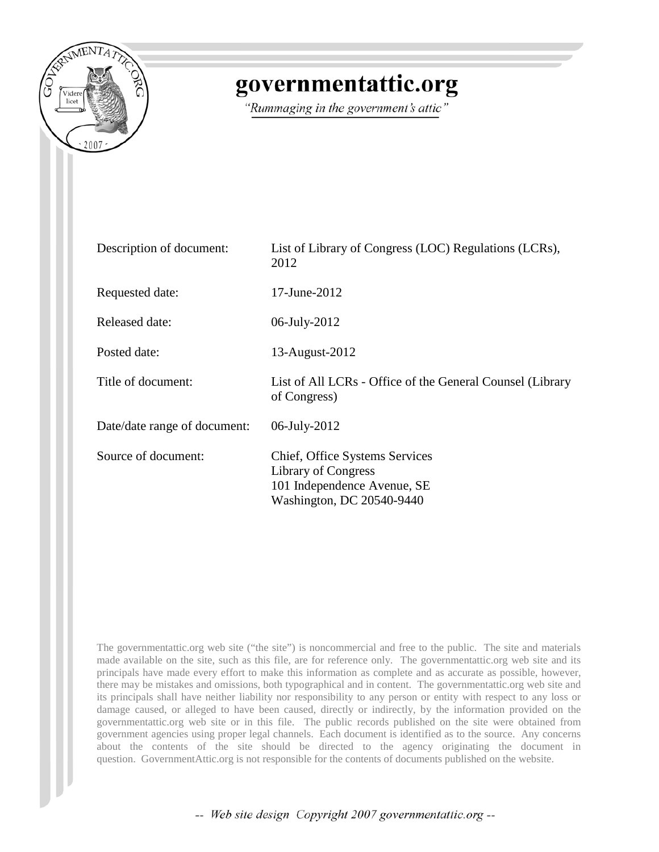

# governmentattic.org

"Rummaging in the government's attic"

| Description of document:     | List of Library of Congress (LOC) Regulations (LCRs),<br>2012                                                            |  |
|------------------------------|--------------------------------------------------------------------------------------------------------------------------|--|
| Requested date:              | $17 - June - 2012$                                                                                                       |  |
| Released date:               | 06-July-2012                                                                                                             |  |
| Posted date:                 | 13-August-2012                                                                                                           |  |
| Title of document:           | List of All LCRs - Office of the General Counsel (Library<br>of Congress)                                                |  |
| Date/date range of document: | 06-July-2012                                                                                                             |  |
| Source of document:          | Chief, Office Systems Services<br><b>Library of Congress</b><br>101 Independence Avenue, SE<br>Washington, DC 20540-9440 |  |

The governmentattic.org web site ("the site") is noncommercial and free to the public. The site and materials made available on the site, such as this file, are for reference only. The governmentattic.org web site and its principals have made every effort to make this information as complete and as accurate as possible, however, there may be mistakes and omissions, both typographical and in content. The governmentattic.org web site and its principals shall have neither liability nor responsibility to any person or entity with respect to any loss or damage caused, or alleged to have been caused, directly or indirectly, by the information provided on the governmentattic.org web site or in this file. The public records published on the site were obtained from government agencies using proper legal channels. Each document is identified as to the source. Any concerns about the contents of the site should be directed to the agency originating the document in question. GovernmentAttic.org is not responsible for the contents of documents published on the website.

-- Web site design Copyright 2007 governmentattic.org --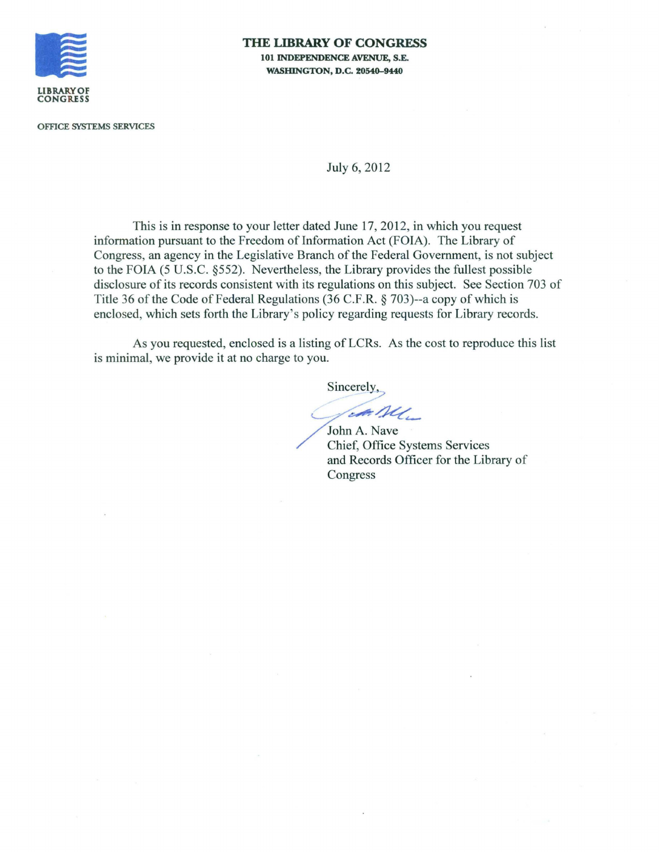

### **THE LIBRARY OF CONGRESS 101 INDEPENDENCE AVENUE, S.E. WASHINGTON, D.C. 20540-9440**

OFFICE SYSTEMS SERVICES

### July 6, 2012

This is in response to your letter dated June 17, 2012, in which you request information pursuant to the Freedom of Information Act (FOIA). The Library of Congress, an agency in the Legislative Branch of the Federal Government, is not subject to the FOIA (5 U.S.C. §552). Nevertheless, the Library provides the fullest possible disclosure of its records consistent with its regulations on this subject. See Section 703 of Title 36 of the Code of Federal Regulations (36 C.F.R. § 703)--a copy of which is enclosed, which sets forth the Library's policy regarding requests for Library records.

As you requested, enclosed is a listing of LCRs. As the cost to reproduce this list is minimal, we provide it at no charge to you.

Sincerely,

 $-AL$ 

John A. Nave Chief, Office Systems Services and Records Officer for the Library of Congress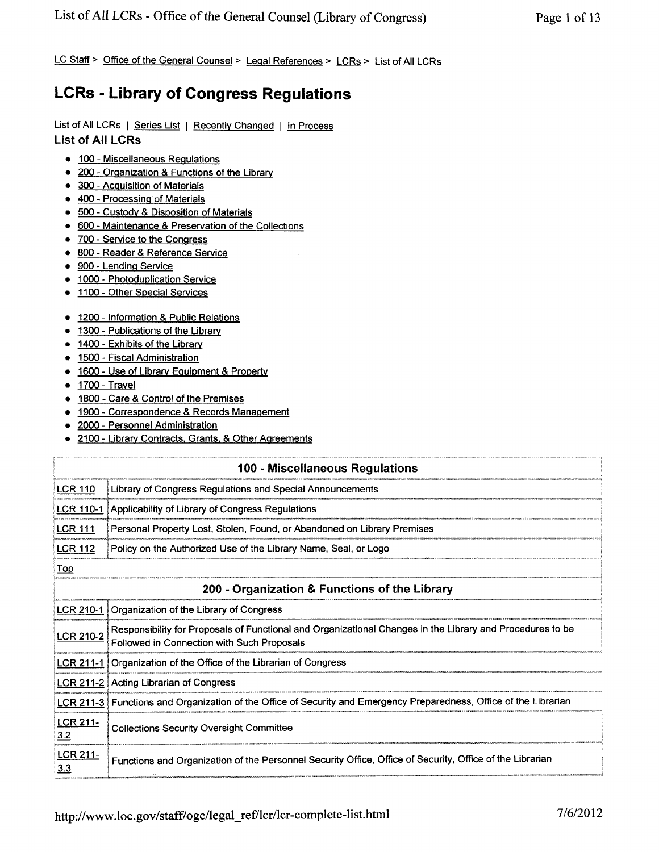LC Staff > Office of the General Counsel > Legal References > LCRs > List of All LCRs

# **LCRs - Library of Congress Regulations**

## List of All LCRs | Series List | Recently Changed | In Process **List of All LCRs**

- 100 Miscellaneous Regulations
- 200 Organization & Functions of the Library
- 300 Acquisition of Materials
- 400 Processing of Materials
- 500 Custody & Disposition of Materials
- 600 Maintenance & Preservation of the Collections
- 700 Service to the Congress
- 800 Reader & Reference Service
- 900 Lending Service
- 1000 Photoduplication Service
- 1100 Other Special Services
- 1200 Information & Public Relations
- 1300 Publications of the Library
- 1400 Exhibits of the Library
- 1500 Fiscal Administration
- 1600 Use of Library Equipment & Property
- 1700 Travel
- 1800 Care & Control of the Premises
- 1900 Correspondence & Records Management
- 2000 Personnel Administration
- 2100 Library Contracts, Grants, & Other Agreements

| 100 - Miscellaneous Regulations |                                                                                                                                                         |
|---------------------------------|---------------------------------------------------------------------------------------------------------------------------------------------------------|
| <b>LCR 110</b>                  | Library of Congress Regulations and Special Announcements                                                                                               |
| <b>LCR 110-1</b>                | Applicability of Library of Congress Regulations                                                                                                        |
| <b>LCR 111</b>                  | Personal Property Lost, Stolen, Found, or Abandoned on Library Premises                                                                                 |
| <b>LCR 112</b>                  | Policy on the Authorized Use of the Library Name, Seal, or Logo                                                                                         |
| <u>Top</u>                      |                                                                                                                                                         |
|                                 | 200 - Organization & Functions of the Library                                                                                                           |
| <b>LCR 210-1</b>                | Organization of the Library of Congress                                                                                                                 |
| LCR 210-2                       | Responsibility for Proposals of Functional and Organizational Changes in the Library and Procedures to be<br>Followed in Connection with Such Proposals |
| <b>LCR 211-1</b>                | Organization of the Office of the Librarian of Congress                                                                                                 |
| <u>LCR 211-2</u>                | <b>Acting Librarian of Congress</b>                                                                                                                     |
| $LCR$ 211-3                     | Functions and Organization of the Office of Security and Emergency Preparedness, Office of the Librarian                                                |
| <b>LCR 211-</b><br>3.2          | <b>Collections Security Oversight Committee</b>                                                                                                         |
| <b>LCR 211-</b><br>3.3          | Functions and Organization of the Personnel Security Office, Office of Security, Office of the Librarian                                                |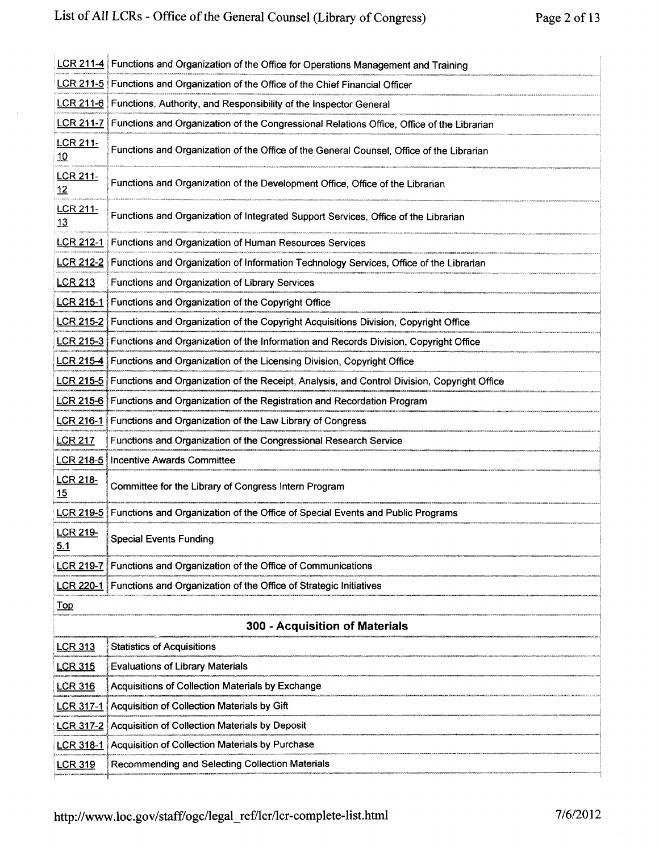$\sim$ 

|                                | LCR 211-4 Functions and Organization of the Office for Operations Management and Training   |
|--------------------------------|---------------------------------------------------------------------------------------------|
|                                | LCR 211-5 Functions and Organization of the Office of the Chief Financial Officer           |
|                                | LCR 211-6 Functions, Authority, and Responsibility of the Inspector General                 |
| <u>LCR 211-7</u>               | Functions and Organization of the Congressional Relations Office, Office of the Librarian   |
| <b>LCR 211-</b><br>10          | Functions and Organization of the Office of the General Counsel, Office of the Librarian    |
| LCR 211-<br>12                 | Functions and Organization of the Development Office, Office of the Librarian               |
| <b>LCR 211-</b><br>13          | Functions and Organization of Integrated Support Services, Office of the Librarian          |
| <u>LCR 212-1</u>               | Functions and Organization of Human Resources Services                                      |
| <u>LCR 212-2</u>               | Functions and Organization of Information Technology Services, Office of the Librarian      |
| <b>LCR 213</b>                 | Functions and Organization of Library Services                                              |
| <b>LCR 215-1</b>               | Functions and Organization of the Copyright Office                                          |
| <b>LCR 215-2</b>               | Functions and Organization of the Copyright Acquisitions Division, Copyright Office         |
| <b>LCR 215-3</b>               | Functions and Organization of the Information and Records Division, Copyright Office        |
| LCR 215-4                      | Functions and Organization of the Licensing Division, Copyright Office                      |
| <b>LCR 215-5</b>               | Functions and Organization of the Receipt, Analysis, and Control Division, Copyright Office |
| LCR 215-6                      | Functions and Organization of the Registration and Recordation Program                      |
| <u>LCR 216-1</u>               | Functions and Organization of the Law Library of Congress                                   |
| <b>LCR 217</b>                 | Functions and Organization of the Congressional Research Service                            |
| LCR 218-5                      | <b>Incentive Awards Committee</b>                                                           |
| LCR 218-<br>15                 | Committee for the Library of Congress Intern Program                                        |
|                                | LCR 219-5 Functions and Organization of the Office of Special Events and Public Programs    |
| LCR 219-<br>5.1                | <b>Special Events Funding</b>                                                               |
| <b>LCR 219-7</b>               | Functions and Organization of the Office of Communications                                  |
| <u>LCR 220-1</u>               | Functions and Organization of the Office of Strategic Initiatives                           |
| <u>Top</u>                     |                                                                                             |
| 300 - Acquisition of Materials |                                                                                             |
| <b>LCR 313</b>                 | <b>Statistics of Acquisitions</b>                                                           |
| <u>LCR 315</u>                 | <b>Evaluations of Library Materials</b>                                                     |
| <u>LCR 316</u>                 | Acquisitions of Collection Materials by Exchange                                            |
| <u>LCR 317-1</u>               | Acquisition of Collection Materials by Gift                                                 |
| <u>LCR 317-2</u>               | Acquisition of Collection Materials by Deposit                                              |
| <b>LCR 318-1</b>               | Acquisition of Collection Materials by Purchase                                             |
| <u>LCR 319</u>                 | Recommending and Selecting Collection Materials                                             |
|                                |                                                                                             |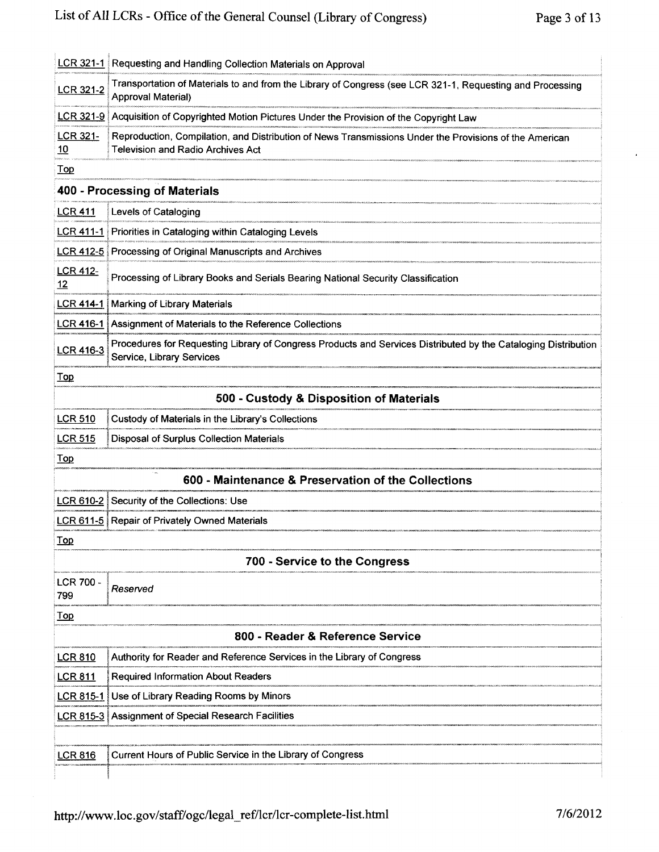|                                          | LCR 321-1 Requesting and Handling Collection Materials on Approval                                                                                 |
|------------------------------------------|----------------------------------------------------------------------------------------------------------------------------------------------------|
| <b>LCR 321-2</b>                         | Transportation of Materials to and from the Library of Congress (see LCR 321-1, Requesting and Processing<br>Approval Material)                    |
| LCR 321-9                                | Acquisition of Copyrighted Motion Pictures Under the Provision of the Copyright Law                                                                |
| <b>LCR 321-</b><br>10                    | Reproduction, Compilation, and Distribution of News Transmissions Under the Provisions of the American<br><b>Television and Radio Archives Act</b> |
| $\underline{\operatorname{Top}}$         |                                                                                                                                                    |
|                                          | 400 - Processing of Materials                                                                                                                      |
| <b>LCR 411</b>                           | Levels of Cataloging                                                                                                                               |
| <b>LCR 411-1</b>                         | Priorities in Cataloging within Cataloging Levels                                                                                                  |
|                                          | LCR 412-5 Processing of Original Manuscripts and Archives                                                                                          |
| <b>LCR 412-</b><br>12                    | Processing of Library Books and Serials Bearing National Security Classification                                                                   |
| LCR 414-1                                | Marking of Library Materials                                                                                                                       |
| LCR 416-1                                | Assignment of Materials to the Reference Collections                                                                                               |
| LCR 416-3                                | Procedures for Requesting Library of Congress Products and Services Distributed by the Cataloging Distribution<br>Service, Library Services        |
| <b>Top</b>                               |                                                                                                                                                    |
| 500 - Custody & Disposition of Materials |                                                                                                                                                    |
| <b>LCR 510</b>                           | Custody of Materials in the Library's Collections                                                                                                  |
| <b>LCR 515</b>                           | Disposal of Surplus Collection Materials                                                                                                           |
| <b>Top</b>                               |                                                                                                                                                    |
|                                          | 600 - Maintenance & Preservation of the Collections                                                                                                |
| LCR 610-2                                | Security of the Collections: Use                                                                                                                   |
|                                          | <b>LCR 611-5</b> Repair of Privately Owned Materials                                                                                               |
| <u>Top</u>                               |                                                                                                                                                    |
|                                          | 700 - Service to the Congress                                                                                                                      |
| <b>LCR 700 -</b><br>799                  | Reserved                                                                                                                                           |
| <b>Top</b>                               |                                                                                                                                                    |
| 800 - Reader & Reference Service         |                                                                                                                                                    |
| <b>LCR 810</b>                           | Authority for Reader and Reference Services in the Library of Congress                                                                             |
| <b>LCR 811</b>                           | <b>Required Information About Readers</b>                                                                                                          |
| LCR 815-1                                | Use of Library Reading Rooms by Minors                                                                                                             |
| LCR 815-3                                | Assignment of Special Research Facilities                                                                                                          |
|                                          |                                                                                                                                                    |
| <b>LCR 816</b>                           | Current Hours of Public Service in the Library of Congress                                                                                         |
|                                          |                                                                                                                                                    |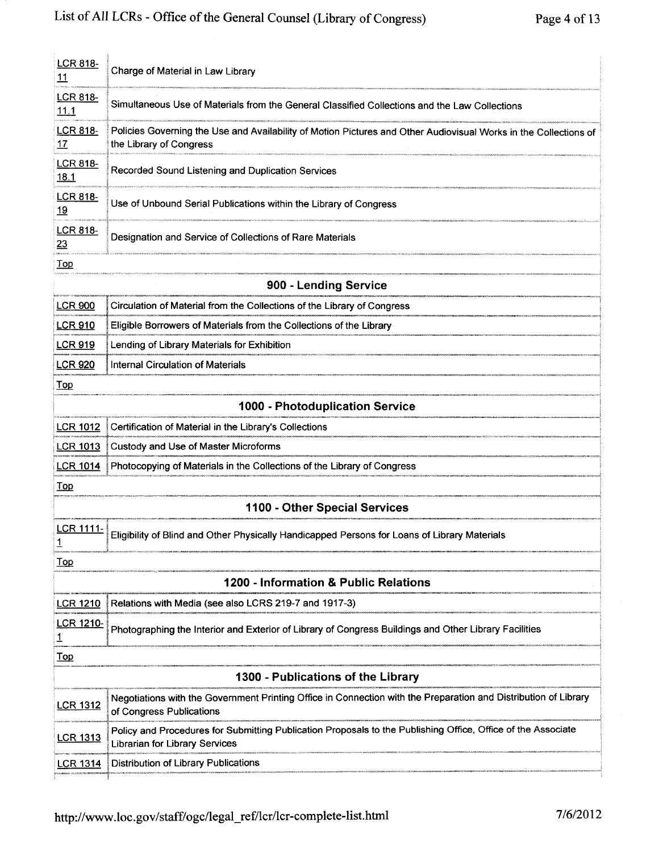| <b>LCR 818-</b><br>11                 | Charge of Material in Law Library                                                                                                              |
|---------------------------------------|------------------------------------------------------------------------------------------------------------------------------------------------|
| <b>LCR 818-</b><br>11.1               | Simultaneous Use of Materials from the General Classified Collections and the Law Collections                                                  |
| <b>LCR 818-</b><br><u> 17</u>         | Policies Governing the Use and Availability of Motion Pictures and Other Audiovisual Works in the Collections of<br>the Library of Congress    |
| <b>LCR 818-</b><br>18.1               | Recorded Sound Listening and Duplication Services                                                                                              |
| <b>LCR 818-</b><br><u>19</u>          | Use of Unbound Serial Publications within the Library of Congress                                                                              |
| <b>LCR 818-</b><br>23                 | Designation and Service of Collections of Rare Materials                                                                                       |
| $\underline{\operatorname{Top}}$      |                                                                                                                                                |
|                                       | 900 - Lending Service                                                                                                                          |
| <b>LCR 900</b>                        | Circulation of Material from the Collections of the Library of Congress                                                                        |
| <b>LCR 910</b>                        | Eligible Borrowers of Materials from the Collections of the Library                                                                            |
| <b>LCR 919</b>                        | Lending of Library Materials for Exhibition                                                                                                    |
| <b>LCR 920</b>                        | <b>Internal Circulation of Materials</b>                                                                                                       |
| Top                                   |                                                                                                                                                |
| 1000 - Photoduplication Service       |                                                                                                                                                |
| <b>LCR 1012</b>                       | Certification of Material in the Library's Collections                                                                                         |
| <b>LCR 1013</b>                       | Custody and Use of Master Microforms                                                                                                           |
| <b>LCR 1014</b>                       | Photocopying of Materials in the Collections of the Library of Congress                                                                        |
| <b>Top</b>                            |                                                                                                                                                |
|                                       | 1100 - Other Special Services                                                                                                                  |
| <b>LCR 1111-</b><br><u>1</u>          | Eligibility of Blind and Other Physically Handicapped Persons for Loans of Library Materials                                                   |
| $\underline{\operatorname{Top}}$      |                                                                                                                                                |
| 1200 - Information & Public Relations |                                                                                                                                                |
| <b>LCR 1210</b>                       | Relations with Media (see also LCRS 219-7 and 1917-3)                                                                                          |
| <b>LCR 1210-</b><br>1                 | Photographing the Interior and Exterior of Library of Congress Buildings and Other Library Facilities                                          |
| Top                                   |                                                                                                                                                |
| 1300 - Publications of the Library    |                                                                                                                                                |
| <b>LCR 1312</b>                       | Negotiations with the Government Printing Office in Connection with the Preparation and Distribution of Library<br>of Congress Publications    |
| <b>LCR 1313</b>                       | Policy and Procedures for Submitting Publication Proposals to the Publishing Office, Office of the Associate<br>Librarian for Library Services |
| <b>LCR 1314</b>                       | Distribution of Library Publications                                                                                                           |
|                                       |                                                                                                                                                |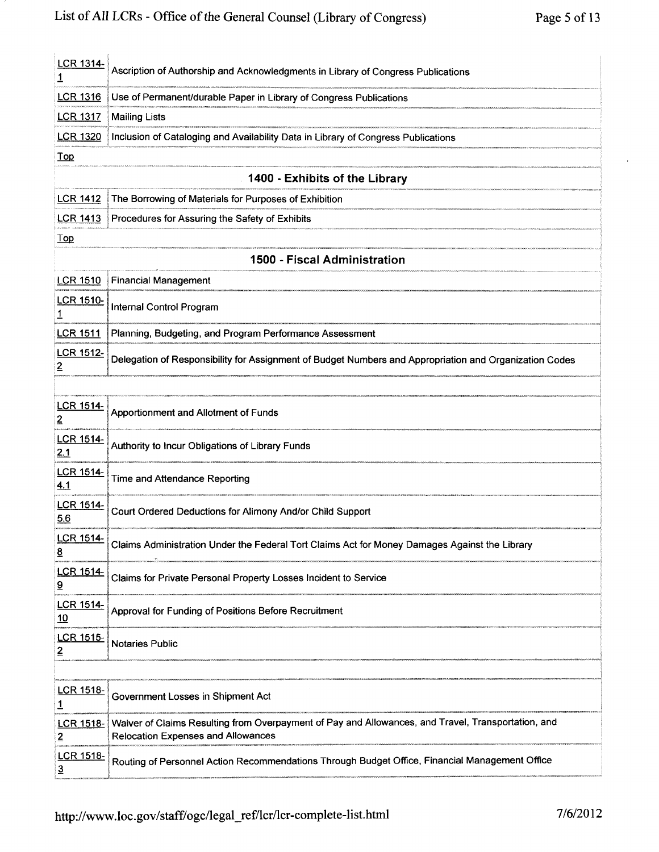| LCR 1314-       | Ascription of Authorship and Acknowledgments in Library of Congress Publications  |
|-----------------|-----------------------------------------------------------------------------------|
|                 | LCR 1316 Use of Permanent/durable Paper in Library of Congress Publications       |
| <b>LCR 1317</b> | Mailing Lists                                                                     |
| <b>LCR 1320</b> | Inclusion of Cataloging and Availability Data in Library of Congress Publications |
| Top             |                                                                                   |

# 1400- Exhibits of the Library

|     | LCR 1412 The Borrowing of Materials for Purposes of Exhibition                                                                                                                                                             |
|-----|----------------------------------------------------------------------------------------------------------------------------------------------------------------------------------------------------------------------------|
|     | <b>LCR 1413</b> Procedures for Assuring the Safety of Exhibits                                                                                                                                                             |
| ⊺on | ны последности последность последности последность последность последность последность последность последность последность последность последность последность последность последность последность последность последность |

### 1500 - Fiscal Administration

|                  | LCR 1510 Financial Management                                                                          |
|------------------|--------------------------------------------------------------------------------------------------------|
|                  | LCR 1510- Internal Control Program                                                                     |
|                  | LCR 1511   Planning, Budgeting, and Program Performance Assessment                                     |
| <b>LCR 1512-</b> | Delegation of Responsibility for Assignment of Budget Numbers and Appropriation and Organization Codes |

| LCR 1514-<br>$\overline{2}$                 | Apportionment and Allotment of Funds                                                                                                            |  |
|---------------------------------------------|-------------------------------------------------------------------------------------------------------------------------------------------------|--|
| LCR 1514-<br>2.1                            | Authority to Incur Obligations of Library Funds                                                                                                 |  |
| <b>LCR 1514-</b><br>4.1                     | Time and Attendance Reporting                                                                                                                   |  |
| LCR 1514-<br>5.6                            | Court Ordered Deductions for Alimony And/or Child Support                                                                                       |  |
| LCR 1514-<br>$\overline{8}$                 | Claims Administration Under the Federal Tort Claims Act for Money Damages Against the Library                                                   |  |
| <u>LCR 1514-</u><br>$\overline{\mathbf{a}}$ | Claims for Private Personal Property Losses Incident to Service                                                                                 |  |
| <b>LCR 1514-</b><br>10                      | Approval for Funding of Positions Before Recruitment                                                                                            |  |
| <b>LCR 1515-</b><br>2                       | <b>Notaries Public</b>                                                                                                                          |  |
|                                             |                                                                                                                                                 |  |
| <b>LCR 1518-</b><br><u>1</u>                | Government Losses in Shipment Act                                                                                                               |  |
| <b>LCR 1518-</b><br>2                       | Waiver of Claims Resulting from Overpayment of Pay and Allowances, and Travel, Transportation, and<br><b>Relocation Expenses and Allowances</b> |  |
| <b>LCR 1518-</b>                            | Routing of Personnel Action Recommendations Through Budget Office, Financial Management Office                                                  |  |

 $\overline{3}$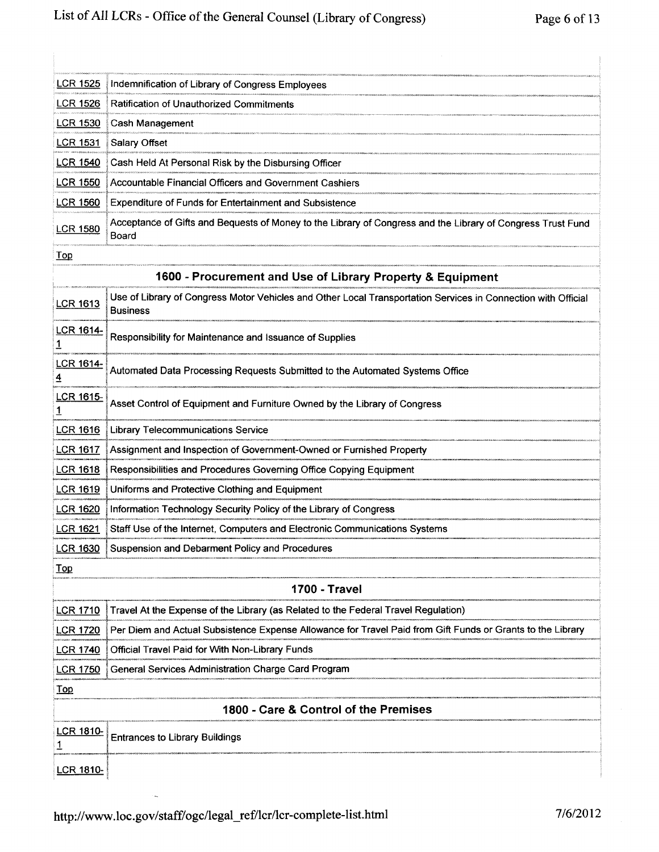| <u>LCR 1525</u>       | Indemnification of Library of Congress Employees                                                                                 |
|-----------------------|----------------------------------------------------------------------------------------------------------------------------------|
| <u>LCR 1526</u>       | <b>Ratification of Unauthorized Commitments</b>                                                                                  |
| <u>LCR 1530</u>       | Cash Management                                                                                                                  |
| <u>LCR 1531</u>       | Salary Offset                                                                                                                    |
| LCR 1540              | Cash Held At Personal Risk by the Disbursing Officer                                                                             |
| LCR 1550              | Accountable Financial Officers and Government Cashiers                                                                           |
| <b>LCR 1560</b>       | <b>Expenditure of Funds for Entertainment and Subsistence</b>                                                                    |
| <u>LCR 1580</u>       | Acceptance of Gifts and Bequests of Money to the Library of Congress and the Library of Congress Trust Fund<br>Board             |
| $1$ Op                |                                                                                                                                  |
|                       | 1600 - Procurement and Use of Library Property & Equipment                                                                       |
| <b>LCR 1613</b>       | Use of Library of Congress Motor Vehicles and Other Local Transportation Services in Connection with Official<br><b>Business</b> |
| <b>LCR 1614-</b>      | Responsibility for Maintenance and Issuance of Supplies                                                                          |
| <b>LCR 1614-</b><br>4 | Automated Data Processing Requests Submitted to the Automated Systems Office                                                     |
| <b>LCR 1615-</b><br>1 | Asset Control of Equipment and Furniture Owned by the Library of Congress                                                        |
| LCR 1616              | <b>Library Telecommunications Service</b>                                                                                        |
| <b>LCR 1617</b>       | Assignment and Inspection of Government-Owned or Furnished Property                                                              |
| <u>LCR 1618</u>       | Responsibilities and Procedures Governing Office Copying Equipment                                                               |
| <b>LCR 1619</b>       | Uniforms and Protective Clothing and Equipment                                                                                   |
| LCR 1620              | Information Technology Security Policy of the Library of Congress                                                                |
| <b>LCR 1621</b>       | Staff Use of the Internet, Computers and Electronic Communications Systems                                                       |
| <b>LCR 1630</b>       | Suspension and Debarment Policy and Procedures                                                                                   |
| <b>Top</b>            |                                                                                                                                  |
| <b>1700 - Travel</b>  |                                                                                                                                  |
| <b>LCR 1710</b>       | Travel At the Expense of the Library (as Related to the Federal Travel Regulation)                                               |
| <b>LCR 1720</b>       | Per Diem and Actual Subsistence Expense Allowance for Travel Paid from Gift Funds or Grants to the Library                       |
| <b>LCR 1740</b>       | Official Travel Paid for With Non-Library Funds                                                                                  |
| <b>LCR 1750</b>       | General Services Administration Charge Card Program                                                                              |
| <u>Top</u>            |                                                                                                                                  |
|                       | 1800 - Care & Control of the Premises                                                                                            |
| <u>LCR 1810-</u><br>1 | <b>Entrances to Library Buildings</b>                                                                                            |
| <b>LCR 1810-</b>      |                                                                                                                                  |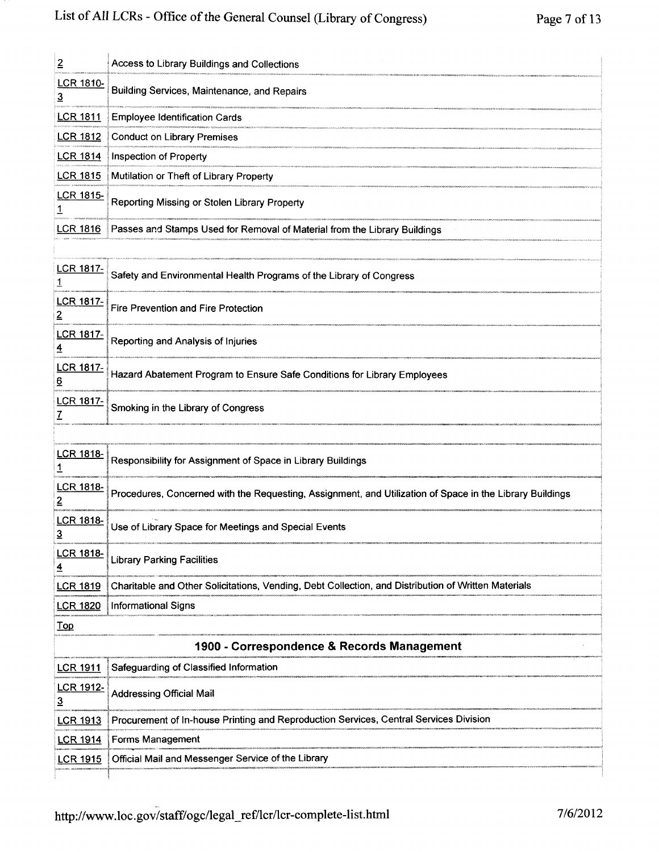| $\overline{2}$                             | Access to Library Buildings and Collections                                                              |
|--------------------------------------------|----------------------------------------------------------------------------------------------------------|
| <b>LCR 1810-</b><br>3                      | Building Services, Maintenance, and Repairs                                                              |
| <b>LCR 1811</b>                            | <b>Employee Identification Cards</b>                                                                     |
| <b>LCR 1812</b>                            | <b>Conduct on Library Premises</b>                                                                       |
| <b>LCR 1814</b>                            | Inspection of Property                                                                                   |
| <b>LCR 1815</b>                            | Mutilation or Theft of Library Property                                                                  |
| <b>LCR 1815-</b><br>1                      | Reporting Missing or Stolen Library Property                                                             |
| <b>LCR 1816</b>                            | Passes and Stamps Used for Removal of Material from the Library Buildings                                |
|                                            |                                                                                                          |
| <u>LCR 1817-</u><br>1                      | Safety and Environmental Health Programs of the Library of Congress                                      |
| <b>LCR 1817-</b><br>2                      | <b>Fire Prevention and Fire Protection</b>                                                               |
| <b>LCR 1817-</b><br>4                      | Reporting and Analysis of Injuries                                                                       |
| <b>LCR 1817-</b><br><u>6</u>               | Hazard Abatement Program to Ensure Safe Conditions for Library Employees                                 |
| <b>LCR 1817-</b><br>Z                      | Smoking in the Library of Congress                                                                       |
|                                            |                                                                                                          |
| <b>LCR 1818-</b><br>$\overline{1}$         | Responsibility for Assignment of Space in Library Buildings                                              |
| <b>LCR 1818-</b><br>2                      | Procedures, Concerned with the Requesting, Assignment, and Utilization of Space in the Library Buildings |
| <b>LCR 1818-</b><br>3                      | Use of Library Space for Meetings and Special Events                                                     |
| <b>LCR 1818-</b><br>$\overline{4}$         | <b>Library Parking Facilities</b>                                                                        |
| <b>LCR 1819</b>                            | Charitable and Other Solicitations, Vending, Debt Collection, and Distribution of Written Materials      |
| <b>LCR 1820</b>                            | <b>Informational Signs</b>                                                                               |
| Top                                        |                                                                                                          |
| 1900 - Correspondence & Records Management |                                                                                                          |
| <b>LCR 1911</b>                            | Safeguarding of Classified Information                                                                   |
| LCR 1912-<br>$\overline{3}$                | <b>Addressing Official Mail</b>                                                                          |
| <b>LCR 1913</b>                            | Procurement of In-house Printing and Reproduction Services, Central Services Division                    |
| <u>LCR 1914</u>                            | Forms Management                                                                                         |
| <b>LCR 1915</b>                            | Official Mail and Messenger Service of the Library                                                       |
|                                            |                                                                                                          |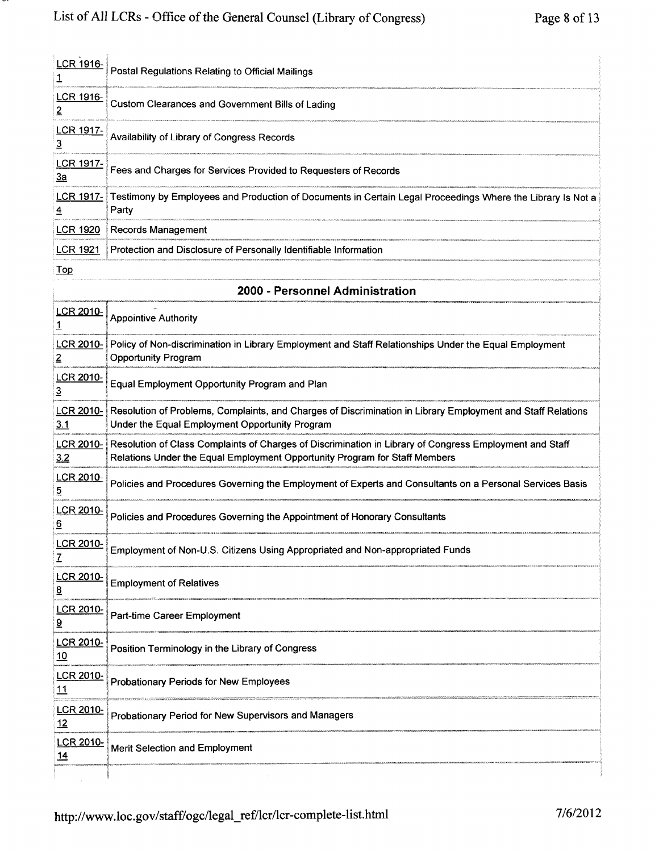| LCR 1916-                      | Postal Regulations Relating to Official Mailings                                                                                                                                      |  |
|--------------------------------|---------------------------------------------------------------------------------------------------------------------------------------------------------------------------------------|--|
| LCR 1916-<br>2                 | Custom Clearances and Government Bills of Lading                                                                                                                                      |  |
| LCR 1917-<br><u>3</u>          | Availability of Library of Congress Records                                                                                                                                           |  |
| <b>LCR 1917-</b><br>За         | Fees and Charges for Services Provided to Requesters of Records                                                                                                                       |  |
| <u>LCR 1917-</u>               | Testimony by Employees and Production of Documents in Certain Legal Proceedings Where the Library Is Not a<br>Party                                                                   |  |
| <u>LCR 1920</u>                | Records Management                                                                                                                                                                    |  |
| <b>LCR 1921</b>                | Protection and Disclosure of Personally Identifiable Information                                                                                                                      |  |
| <b>Top</b>                     |                                                                                                                                                                                       |  |
|                                | 2000 - Personnel Administration                                                                                                                                                       |  |
| LCR 2010-<br>1                 | <b>Appointive Authority</b>                                                                                                                                                           |  |
| <b>LCR 2010-</b><br>2          | Policy of Non-discrimination in Library Employment and Staff Relationships Under the Equal Employment<br><b>Opportunity Program</b>                                                   |  |
| <b>LCR 2010-</b><br>3          | Equal Employment Opportunity Program and Plan                                                                                                                                         |  |
| <b>LCR 2010-</b><br>3.1        | Resolution of Problems, Complaints, and Charges of Discrimination in Library Employment and Staff Relations<br>Under the Equal Employment Opportunity Program                         |  |
| <u>LCR 2010-</u><br><u>3.2</u> | Resolution of Class Complaints of Charges of Discrimination in Library of Congress Employment and Staff<br>Relations Under the Equal Employment Opportunity Program for Staff Members |  |
| <b>LCR 2010-</b><br>5          | Policies and Procedures Governing the Employment of Experts and Consultants on a Personal Services Basis                                                                              |  |
| LCR 2010-<br><u>6</u>          | Policies and Procedures Governing the Appointment of Honorary Consultants                                                                                                             |  |
| LCR 2010-<br>Z                 | Employment of Non-U.S. Citizens Using Appropriated and Non-appropriated Funds                                                                                                         |  |
| <b>LCR 2010-</b><br><u>ខ</u>   | <b>Employment of Relatives</b>                                                                                                                                                        |  |
| LCR 2010-                      | Part-time Career Employment                                                                                                                                                           |  |

| 9         | $\sim$ are anno barbor Employmon.                    |
|-----------|------------------------------------------------------|
| LCR 2010- | Position Terminology in the Library of Congress      |
| LCR 2010- | Probationary Periods for New Employees               |
| LCR 2010- | Probationary Period for New Supervisors and Managers |
| LCR 2010- | Merit Selection and Employment                       |
|           |                                                      |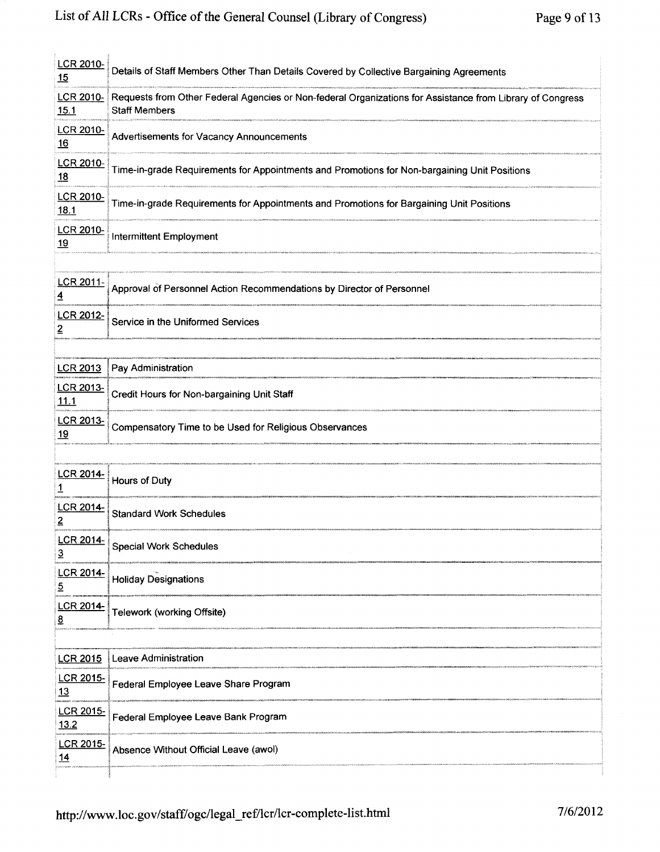| <b>LCR 2010-</b><br><u> 15</u>     | Details of Staff Members Other Than Details Covered by Collective Bargaining Agreements                                           |
|------------------------------------|-----------------------------------------------------------------------------------------------------------------------------------|
| LCR 2010-<br>15.1                  | Requests from Other Federal Agencies or Non-federal Organizations for Assistance from Library of Congress<br><b>Staff Members</b> |
| LCR 2010-<br><u> 16</u>            | Advertisements for Vacancy Announcements                                                                                          |
| <b>LCR 2010-</b><br><u>18</u>      | Time-in-grade Requirements for Appointments and Promotions for Non-bargaining Unit Positions                                      |
| LCR 2010-<br><u>18.1</u>           | Time-in-grade Requirements for Appointments and Promotions for Bargaining Unit Positions                                          |
| <b>LCR 2010-</b><br><u>19</u>      | <b>Intermittent Employment</b>                                                                                                    |
|                                    |                                                                                                                                   |
| <b>LCR 2011-</b><br><u>4</u>       | Approval of Personnel Action Recommendations by Director of Personnel                                                             |
| LCR 2012-<br>2                     | Service in the Uniformed Services                                                                                                 |
|                                    |                                                                                                                                   |
| <b>LCR 2013</b>                    | Pay Administration                                                                                                                |
| <u>LCR 2013-</u><br>11.1           | Credit Hours for Non-bargaining Unit Staff                                                                                        |
| LCR 2013-<br>19                    | Compensatory Time to be Used for Religious Observances                                                                            |
|                                    |                                                                                                                                   |
| LCR 2014-<br><u>1</u>              | Hours of Duty                                                                                                                     |
| <b>LCR 2014-</b><br>$\overline{2}$ | <b>Standard Work Schedules</b>                                                                                                    |
| LCR 2014-<br>$\underline{3}$       | <b>Special Work Schedules</b>                                                                                                     |
| <b>LCR 2014-</b><br>5              | <b>Holiday Designations</b>                                                                                                       |
| LCR 2014-<br><u>8</u>              | Telework (working Offsite)                                                                                                        |
|                                    |                                                                                                                                   |
| <b>LCR 2015</b>                    | Leave Administration                                                                                                              |
| LCR 2015-<br>13                    | Federal Employee Leave Share Program                                                                                              |
| LCR 2015-<br>13.2                  | Federal Employee Leave Bank Program                                                                                               |
| LCR 2015-<br>14                    | Absence Without Official Leave (awol)                                                                                             |
|                                    |                                                                                                                                   |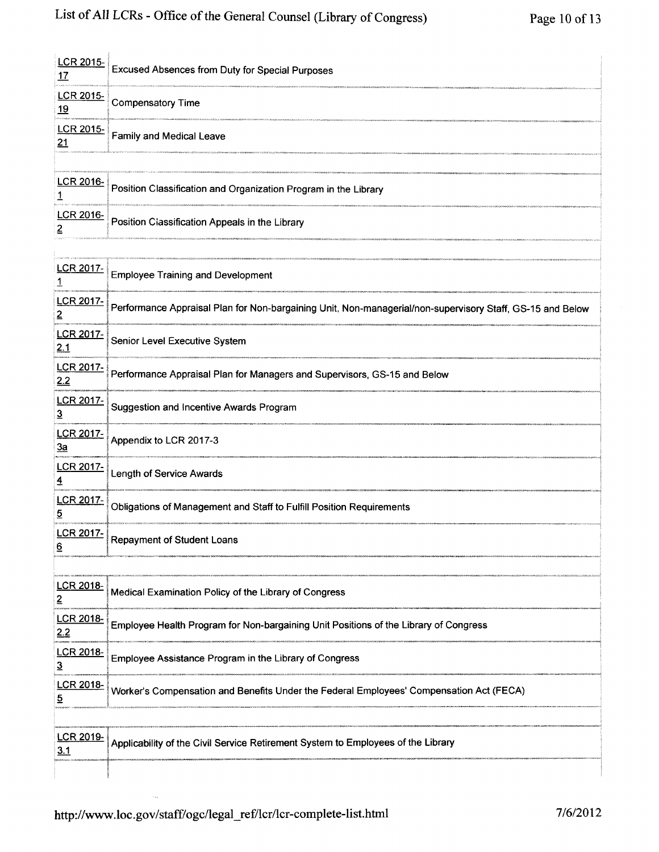| <b>LCR 2015-</b><br><u> 17</u>     | <b>Excused Absences from Duty for Special Purposes</b>                                                    |  |
|------------------------------------|-----------------------------------------------------------------------------------------------------------|--|
| LCR 2015-<br><u>19</u>             | <b>Compensatory Time</b>                                                                                  |  |
| LCR 2015-<br>21                    | Family and Medical Leave                                                                                  |  |
|                                    |                                                                                                           |  |
| <b>LCR 2016-</b><br>1              | Position Classification and Organization Program in the Library                                           |  |
| <b>LCR 2016-</b><br>2              | Position Classification Appeals in the Library                                                            |  |
|                                    |                                                                                                           |  |
| LCR 2017-<br>1                     | <b>Employee Training and Development</b>                                                                  |  |
| LCR 2017-<br>2                     | Performance Appraisal Plan for Non-bargaining Unit, Non-managerial/non-supervisory Staff, GS-15 and Below |  |
| LCR 2017-<br><u>2.1</u>            | Senior Level Executive System                                                                             |  |
| <b>LCR 2017-</b><br>2.2            | Performance Appraisal Plan for Managers and Supervisors, GS-15 and Below                                  |  |
| <b>LCR 2017-</b><br>$\overline{3}$ | <b>Suggestion and Incentive Awards Program</b>                                                            |  |
| <b>LCR 2017-</b><br><u>3a</u>      | Appendix to LCR 2017-3                                                                                    |  |
| <b>LCR 2017-</b><br>4              | Length of Service Awards                                                                                  |  |
| <b>LCR 2017-</b><br>5              | Obligations of Management and Staff to Fulfill Position Requirements                                      |  |
| <b>LCR 2017-</b><br><u>6</u>       | <b>Repayment of Student Loans</b>                                                                         |  |
|                                    |                                                                                                           |  |
| LCR 2018-<br>$\overline{2}$        | Medical Examination Policy of the Library of Congress                                                     |  |
| LCR 2018-<br>2.2                   | Employee Health Program for Non-bargaining Unit Positions of the Library of Congress                      |  |
| LCR 2018-<br>3                     | Employee Assistance Program in the Library of Congress                                                    |  |
| LCR 2018-<br>$\overline{5}$        | Worker's Compensation and Benefits Under the Federal Employees' Compensation Act (FECA)                   |  |
|                                    |                                                                                                           |  |
| <b>LCR 2019-</b><br><u>3.1</u>     | Applicability of the Civil Service Retirement System to Employees of the Library                          |  |
|                                    |                                                                                                           |  |

 $\hat{\phi}_{\rm ex}$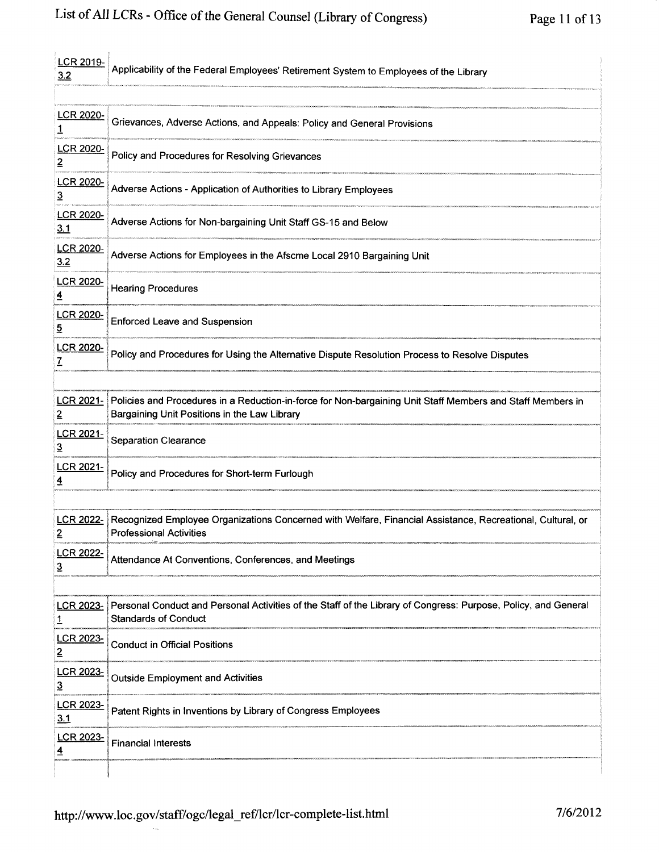| <b>LCR 2019-</b><br><u>3.2</u>     | Applicability of the Federal Employees' Retirement System to Employees of the Library                                                                      |
|------------------------------------|------------------------------------------------------------------------------------------------------------------------------------------------------------|
|                                    |                                                                                                                                                            |
| <b>LCR 2020-</b>                   | Grievances, Adverse Actions, and Appeals: Policy and General Provisions                                                                                    |
| <b>LCR 2020-</b><br>2              | Policy and Procedures for Resolving Grievances                                                                                                             |
| <b>LCR 2020-</b><br>3              | Adverse Actions - Application of Authorities to Library Employees                                                                                          |
| <u>LCR 2020-</u><br><u>3.1</u>     | Adverse Actions for Non-bargaining Unit Staff GS-15 and Below                                                                                              |
| <u>LCR 2020-</u><br>3.2            | Adverse Actions for Employees in the Afscme Local 2910 Bargaining Unit                                                                                     |
| <u>LCR 2020-</u><br>$\overline{4}$ | <b>Hearing Procedures</b>                                                                                                                                  |
| <b>LCR 2020-</b><br>5              | <b>Enforced Leave and Suspension</b>                                                                                                                       |
| <b>LCR 2020-</b><br>7              | Policy and Procedures for Using the Alternative Dispute Resolution Process to Resolve Disputes                                                             |
|                                    |                                                                                                                                                            |
| <b>LCR 2021-</b><br><u>2</u>       | Policies and Procedures in a Reduction-in-force for Non-bargaining Unit Staff Members and Staff Members in<br>Bargaining Unit Positions in the Law Library |
| LCR 2021-<br><u>3</u>              | <b>Separation Clearance</b>                                                                                                                                |
| LCR 2021-<br>4                     | Policy and Procedures for Short-term Furlough                                                                                                              |
|                                    |                                                                                                                                                            |
| <b>LCR 2022-</b><br>2              | Recognized Employee Organizations Concerned with Welfare, Financial Assistance, Recreational, Cultural, or<br><b>Professional Activities</b>               |
| <u>LCR 2022-</u><br>3              | Attendance At Conventions, Conferences, and Meetings                                                                                                       |
|                                    |                                                                                                                                                            |
| <b>LCR 2023-</b><br>1              | Personal Conduct and Personal Activities of the Staff of the Library of Congress: Purpose, Policy, and General<br><b>Standards of Conduct</b>              |
| <b>LCR 2023-</b><br>2              | <b>Conduct in Official Positions</b>                                                                                                                       |
| LCR 2023-<br>$\overline{3}$        | <b>Outside Employment and Activities</b>                                                                                                                   |
| <b>LCR 2023-</b><br>3.1            | Patent Rights in Inventions by Library of Congress Employees                                                                                               |
| LCR 2023-                          | <b>Financial Interests</b>                                                                                                                                 |
|                                    |                                                                                                                                                            |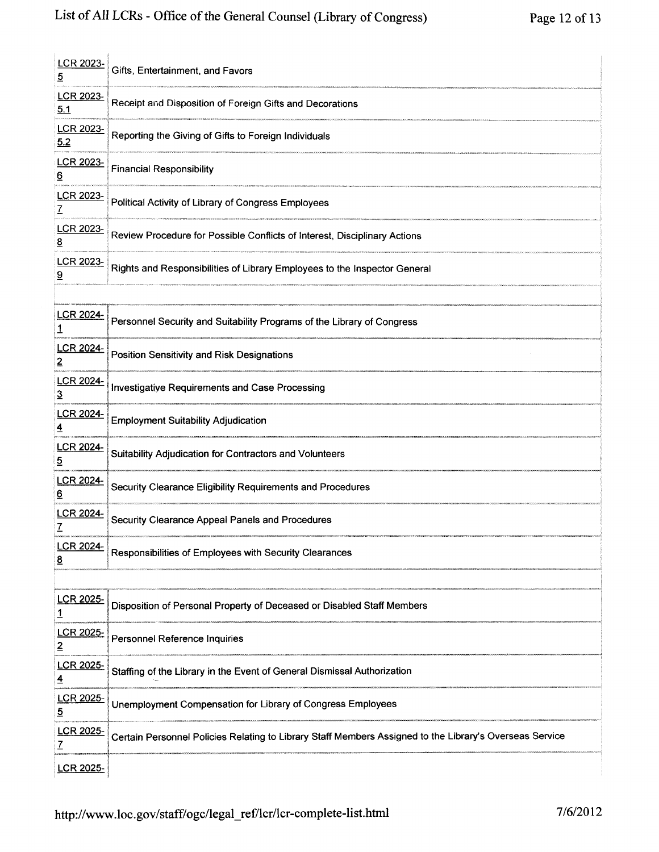| <b>LCR 2023-</b><br>5        | Gifts, Entertainment, and Favors                                                                        |
|------------------------------|---------------------------------------------------------------------------------------------------------|
| LCR 2023-<br>5.1             | Receipt and Disposition of Foreign Gifts and Decorations                                                |
| LCR 2023-<br>5.2             | Reporting the Giving of Gifts to Foreign Individuals                                                    |
| <u>LCR 2023-</u><br><u>6</u> | <b>Financial Responsibility</b>                                                                         |
| <u>LCR 2023-</u><br>Z        | Political Activity of Library of Congress Employees                                                     |
| <b>LCR 2023-</b><br><u>8</u> | Review Procedure for Possible Conflicts of Interest, Disciplinary Actions                               |
| LCR 2023-<br><u>ର</u>        | Rights and Responsibilities of Library Employees to the Inspector General                               |
|                              |                                                                                                         |
| <b>LCR 2024-</b>             | Personnel Security and Suitability Programs of the Library of Congress                                  |
| LCR 2024-<br>2               | <b>Position Sensitivity and Risk Designations</b>                                                       |
| <u>LCR 2024-</u><br>3        | <b>Investigative Requirements and Case Processing</b>                                                   |
| <u>LCR 2024-</u>             | <b>Employment Suitability Adjudication</b>                                                              |
| <b>LCR 2024-</b><br>5        | Suitability Adjudication for Contractors and Volunteers                                                 |
| <u>LCR 2024-</u><br><u>6</u> | Security Clearance Eligibility Requirements and Procedures                                              |
| <u>LCR 2024-</u><br>7        | Security Clearance Appeal Panels and Procedures                                                         |
| <b>LCR 2024-</b><br><u>8</u> | Responsibilities of Employees with Security Clearances                                                  |
|                              |                                                                                                         |
| LCR 2025-<br><u>1</u>        | Disposition of Personal Property of Deceased or Disabled Staff Members                                  |
| LCR 2025-<br>2               | <b>Personnel Reference Inquiries</b>                                                                    |
| <b>LCR 2025-</b><br>4        | Staffing of the Library in the Event of General Dismissal Authorization                                 |
| <b>LCR 2025-</b><br><u>5</u> | Unemployment Compensation for Library of Congress Employees                                             |
| LCR 2025-<br>7               | Certain Personnel Policies Relating to Library Staff Members Assigned to the Library's Overseas Service |
| <b>LCR 2025-</b>             |                                                                                                         |